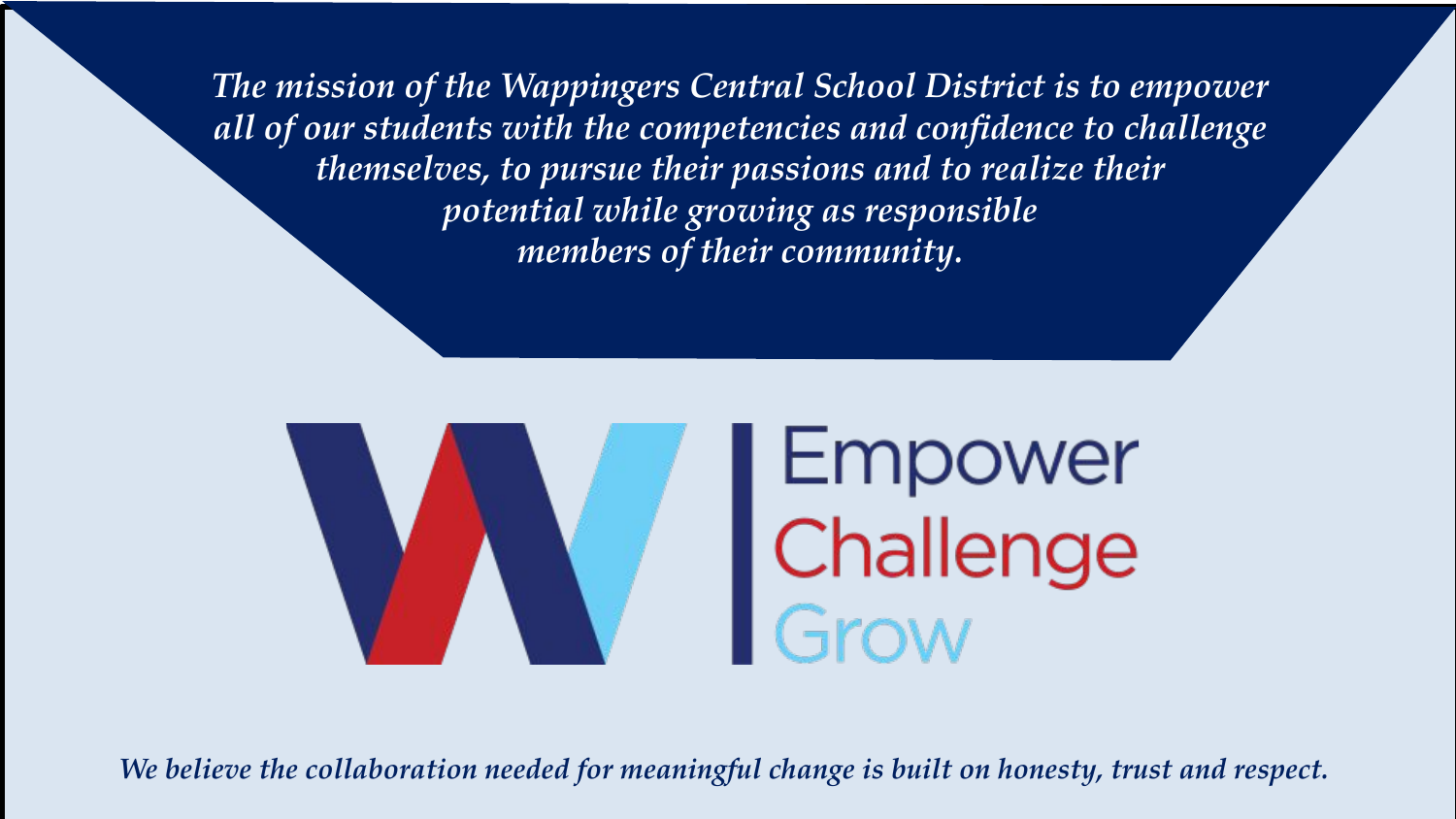*The mission of the Wappingers Central School District is to empower all of our students with the competencies and confidence to challenge themselves, to pursue their passions and to realize their potential while growing as responsible members of their community.*



*We believe the collaboration needed for meaningful change is built on honesty, trust and respect.*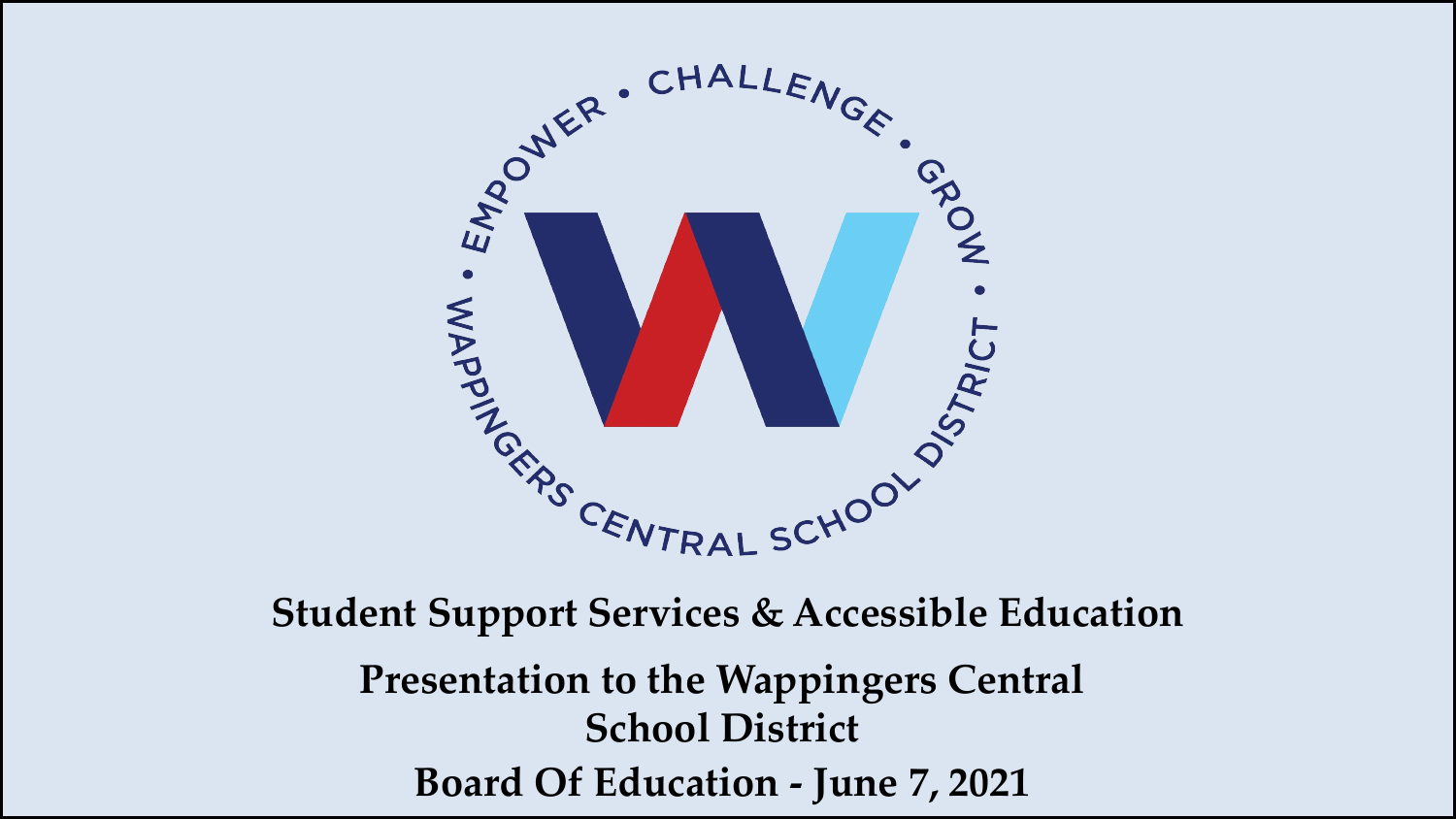

**Student Support Services & Accessible Education Presentation to the Wappingers Central School District Board Of Education - June 7, 2021**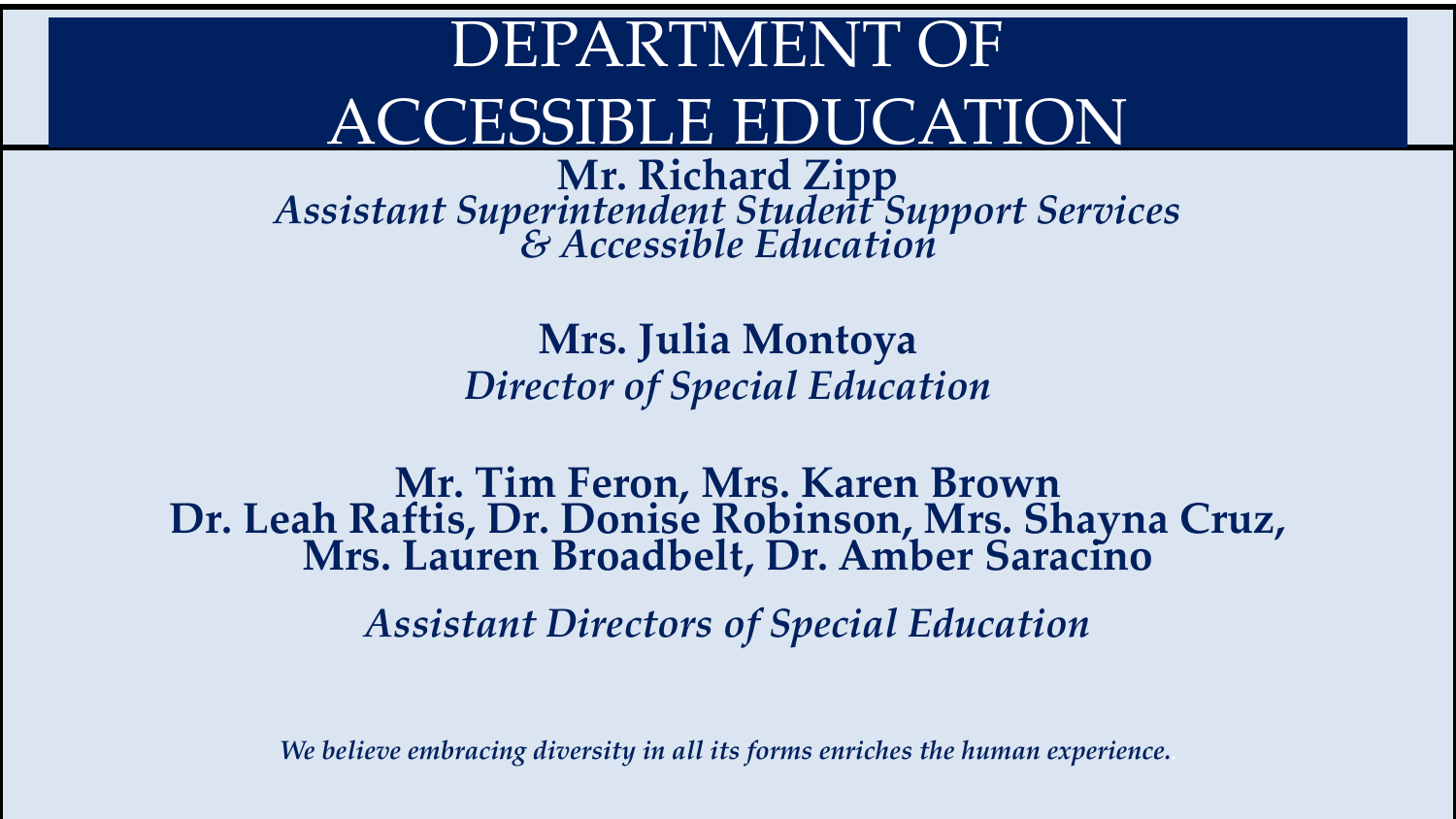# DEPARTMENT OF ACCESSIBLE EDUCATION

**Mr. Richard Zipp** *Assistant Superintendent Student Support Services & Accessible Education* 

> **Mrs. Julia Montoya**  *Director of Special Education*

**Mr. Tim Feron, Mrs. Karen Brown Dr. Leah Raftis, Dr. Donise Robinson, Mrs. Shayna Cruz, Mrs. Lauren Broadbelt, Dr. Amber Saracino** 

*Assistant Directors of Special Education*

*We believe embracing diversity in all its forms enriches the human experience..*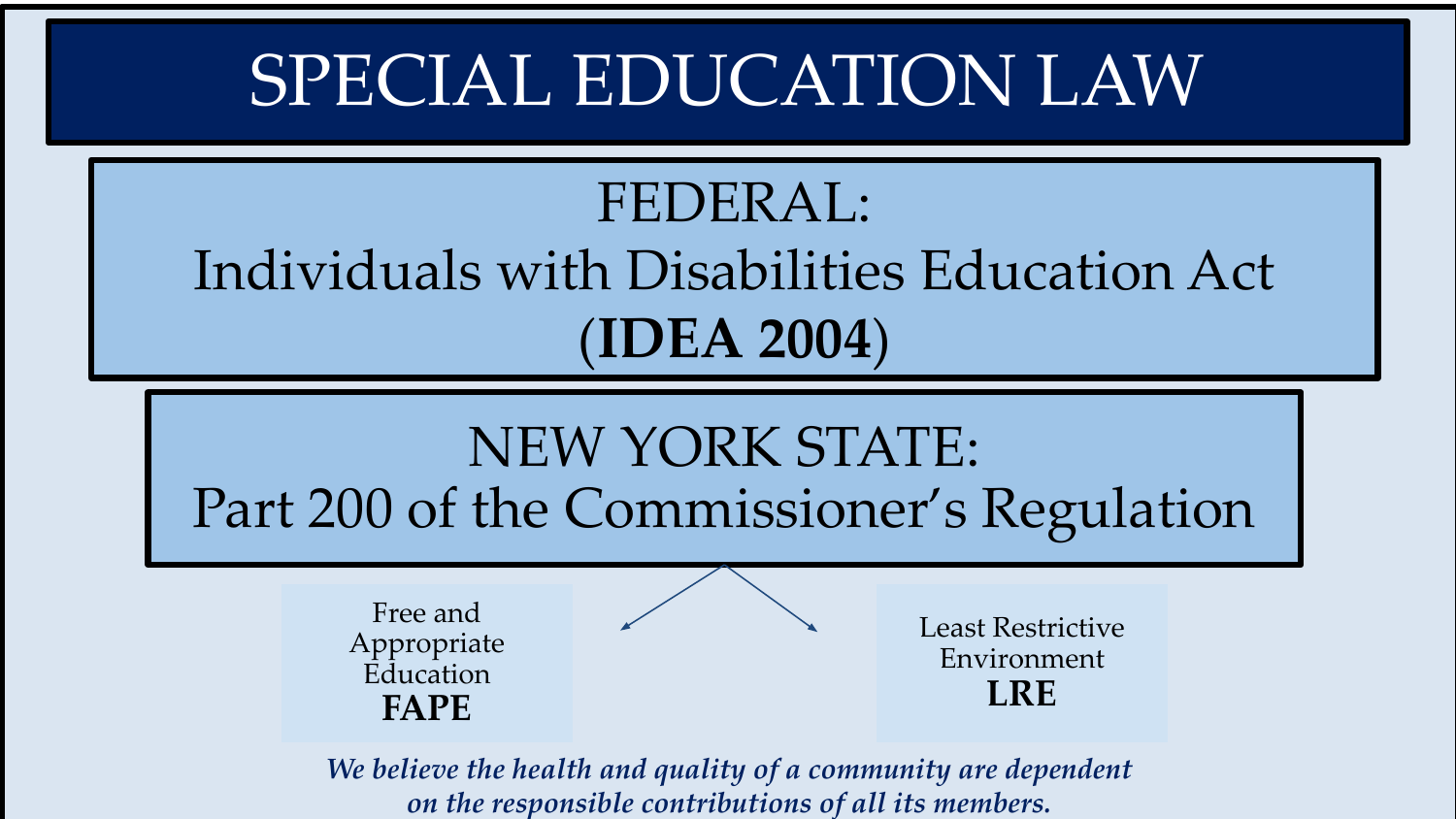# SPECIAL EDUCATION LAW

## FEDERAL: Individuals with Disabilities Education Act (**IDEA 2004**)



*We believe the health and quality of a community are dependent on the responsible contributions of all its members.*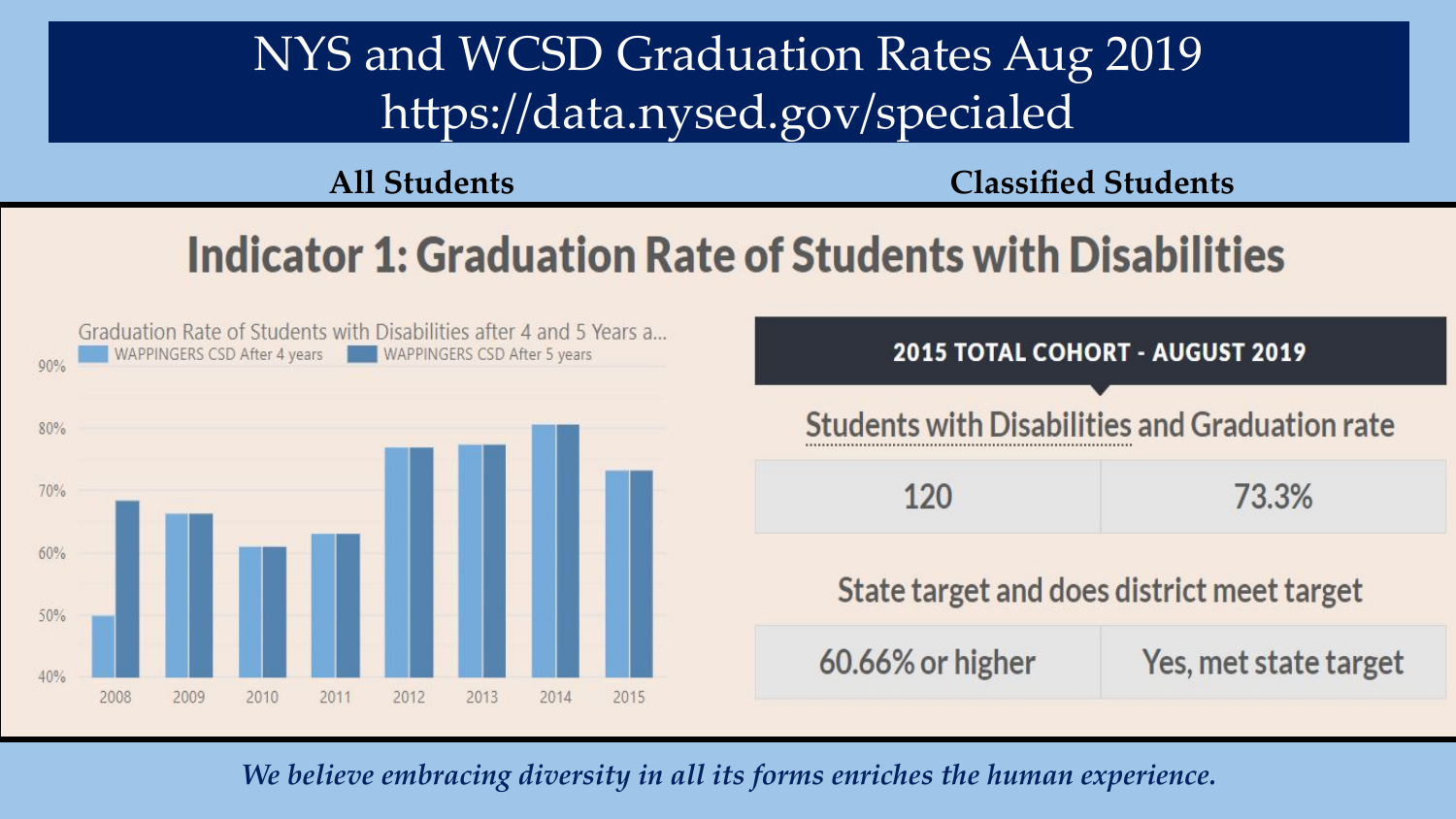### NYS and WCSD Graduation Rates Aug 2019 https://data.nysed.gov/specialed

**All Students Classified Students**

## Indicator 1: Graduation Rate of Students with Disabilities



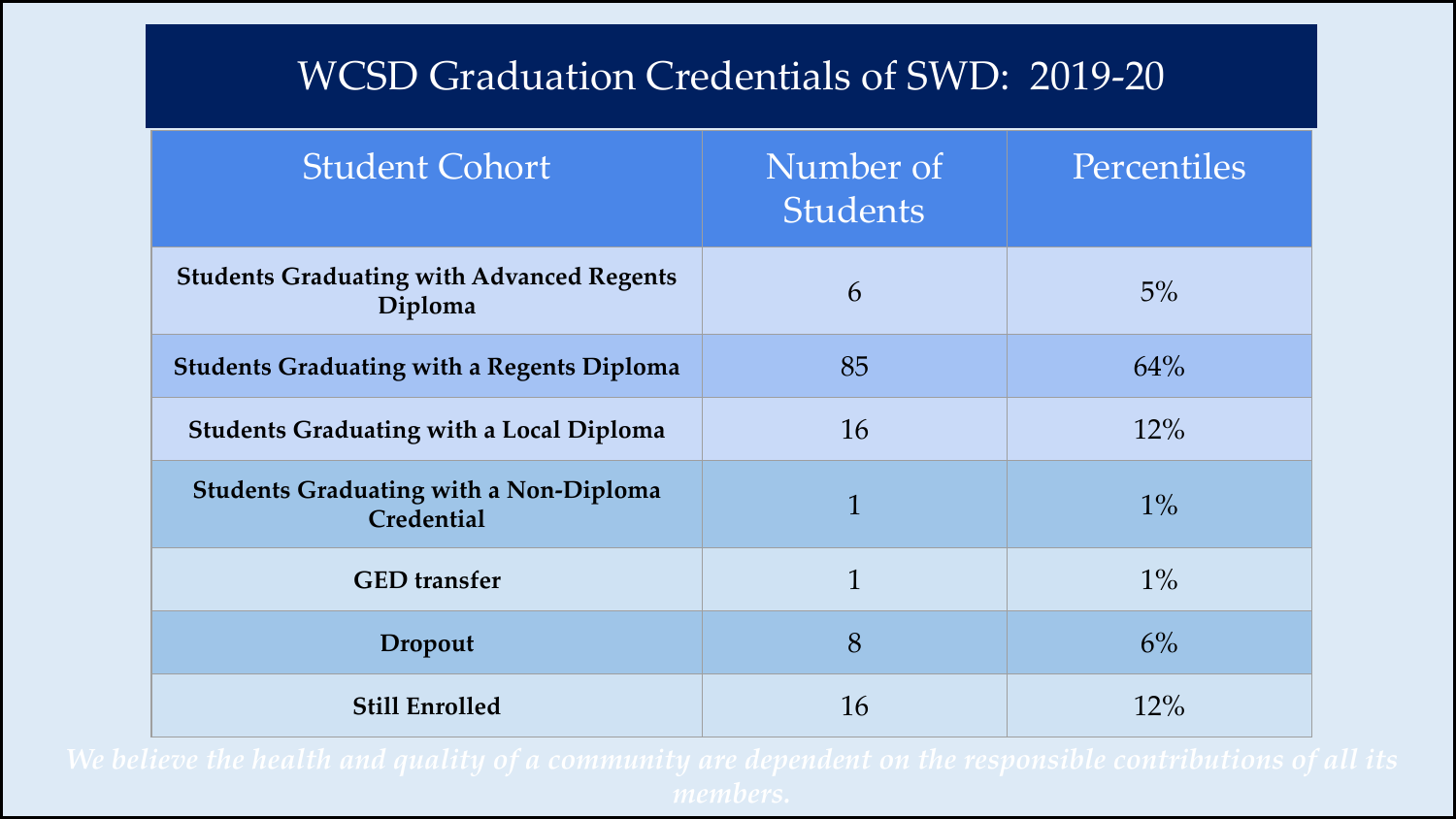#### WCSD Graduation Credentials of SWD: 2019-20

| <b>Student Cohort</b>                                       | Number of<br><b>Students</b> | Percentiles |
|-------------------------------------------------------------|------------------------------|-------------|
| <b>Students Graduating with Advanced Regents</b><br>Diploma | 6                            | 5%          |
| <b>Students Graduating with a Regents Diploma</b>           | 85                           | 64%         |
| <b>Students Graduating with a Local Diploma</b>             | 16                           | 12%         |
| <b>Students Graduating with a Non-Diploma</b><br>Credential | $\mathbf{1}$                 | $1\%$       |
| <b>GED</b> transfer                                         | $\mathbf{1}$                 | $1\%$       |
| Dropout                                                     | 8                            | 6%          |
| <b>Still Enrolled</b>                                       | 16                           | 12%         |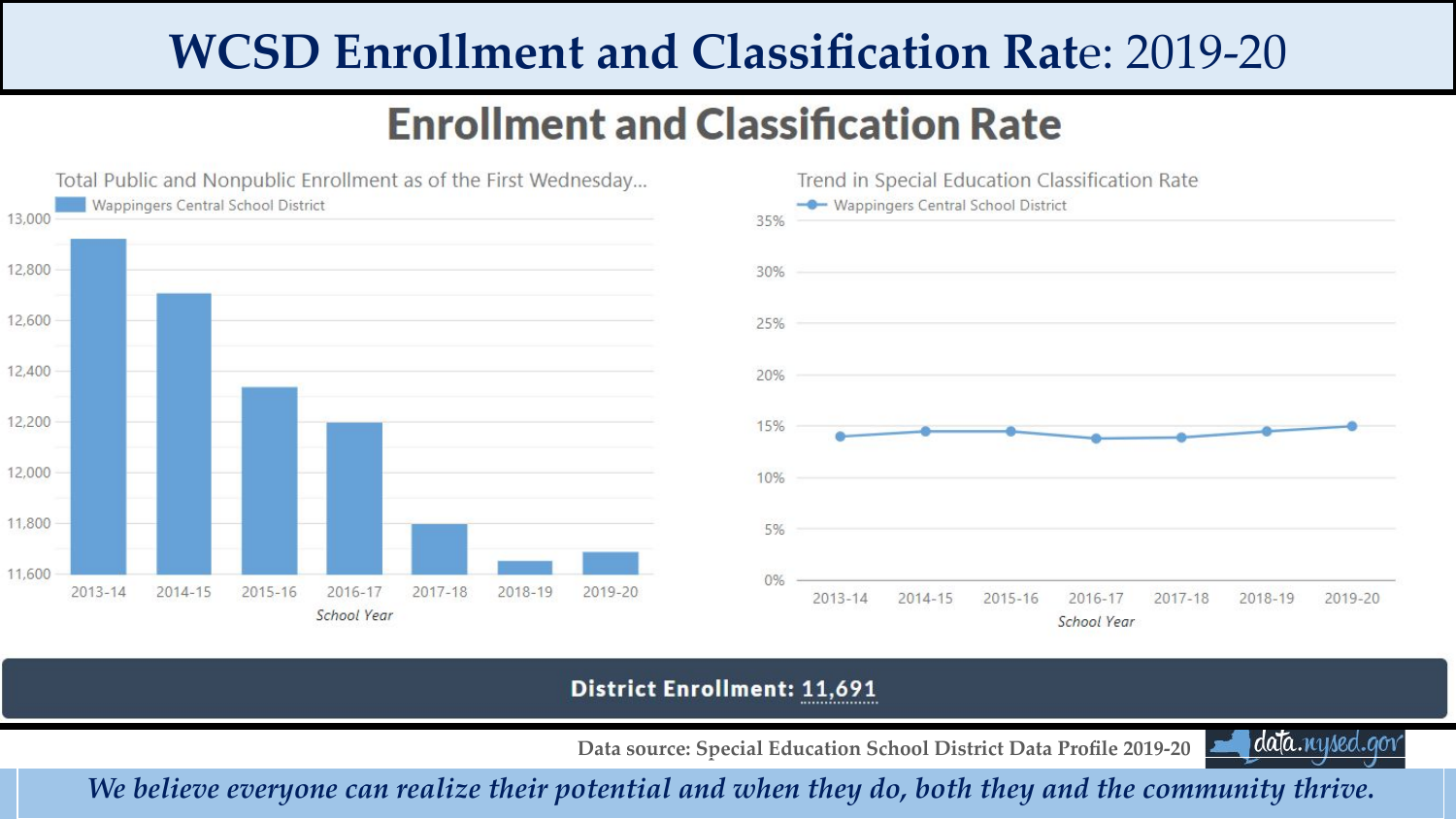## **WCSD Enrollment and Classification Rat**e: 2019-20

#### **Enrollment and Classification Rate**





#### **District Enrollment: 11,691**

**Data source: Special Education School District Data Profile 2019-20** 



*We believe everyone can realize their potential and when they do, both they and the community thrive.*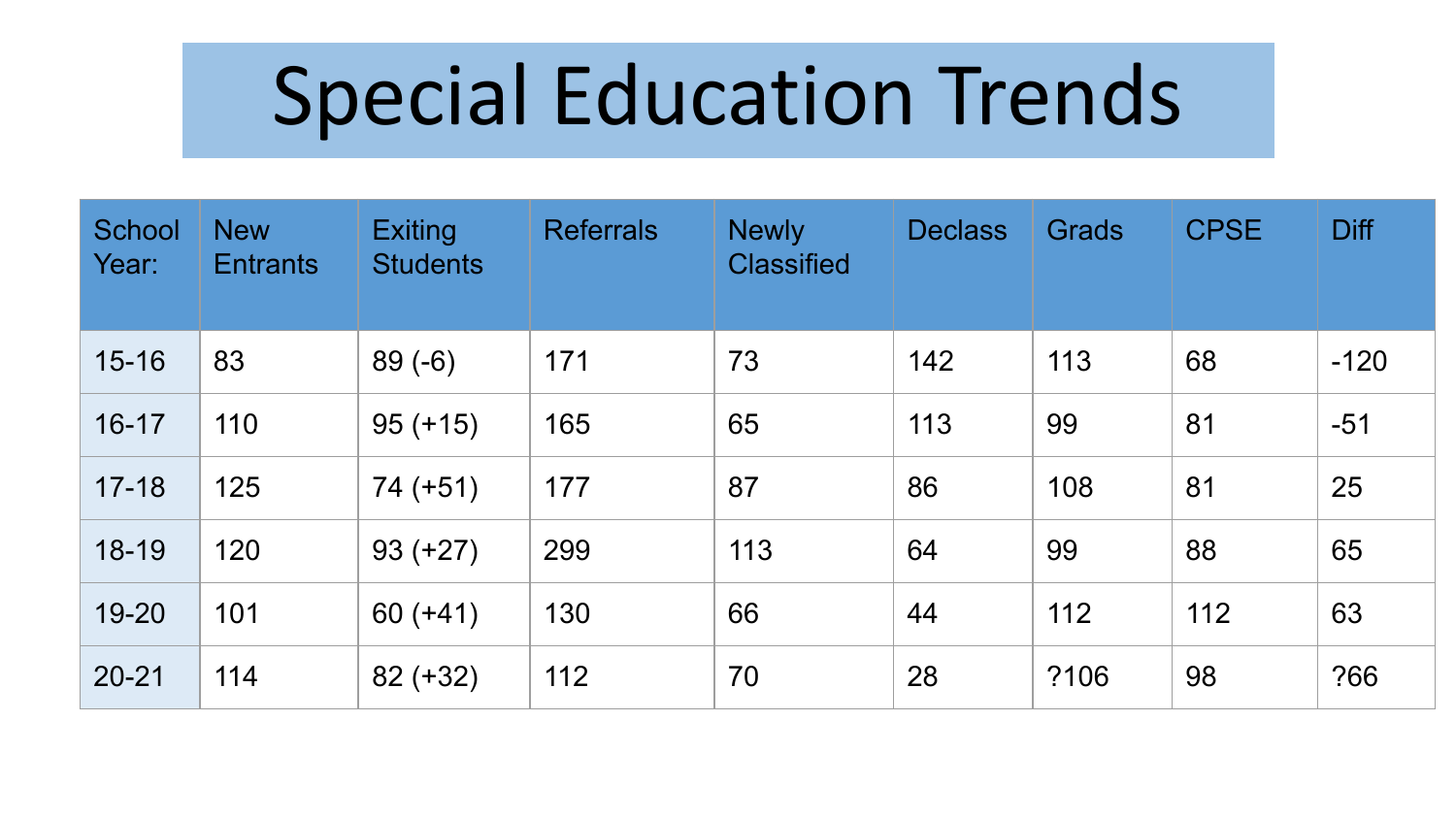# Special Education Trends

| School<br>Year: | <b>New</b><br><b>Entrants</b> | <b>Exiting</b><br><b>Students</b> | <b>Referrals</b> | <b>Newly</b><br><b>Classified</b> | <b>Declass</b> | Grads | <b>CPSE</b> | <b>Diff</b> |
|-----------------|-------------------------------|-----------------------------------|------------------|-----------------------------------|----------------|-------|-------------|-------------|
| $15 - 16$       | 83                            | $89(-6)$                          | 171              | 73                                | 142            | 113   | 68          | $-120$      |
| $16 - 17$       | 110                           | $95 (+15)$                        | 165              | 65                                | 113            | 99    | 81          | $-51$       |
| $17 - 18$       | 125                           | $74 (+51)$                        | 177              | 87                                | 86             | 108   | 81          | 25          |
| $18 - 19$       | 120                           | $93 (+27)$                        | 299              | 113                               | 64             | 99    | 88          | 65          |
| 19-20           | 101                           | $60 (+41)$                        | 130              | 66                                | 44             | 112   | 112         | 63          |
| $20 - 21$       | 114                           | $82 (+32)$                        | 112              | 70                                | 28             | ?106  | 98          | ?66         |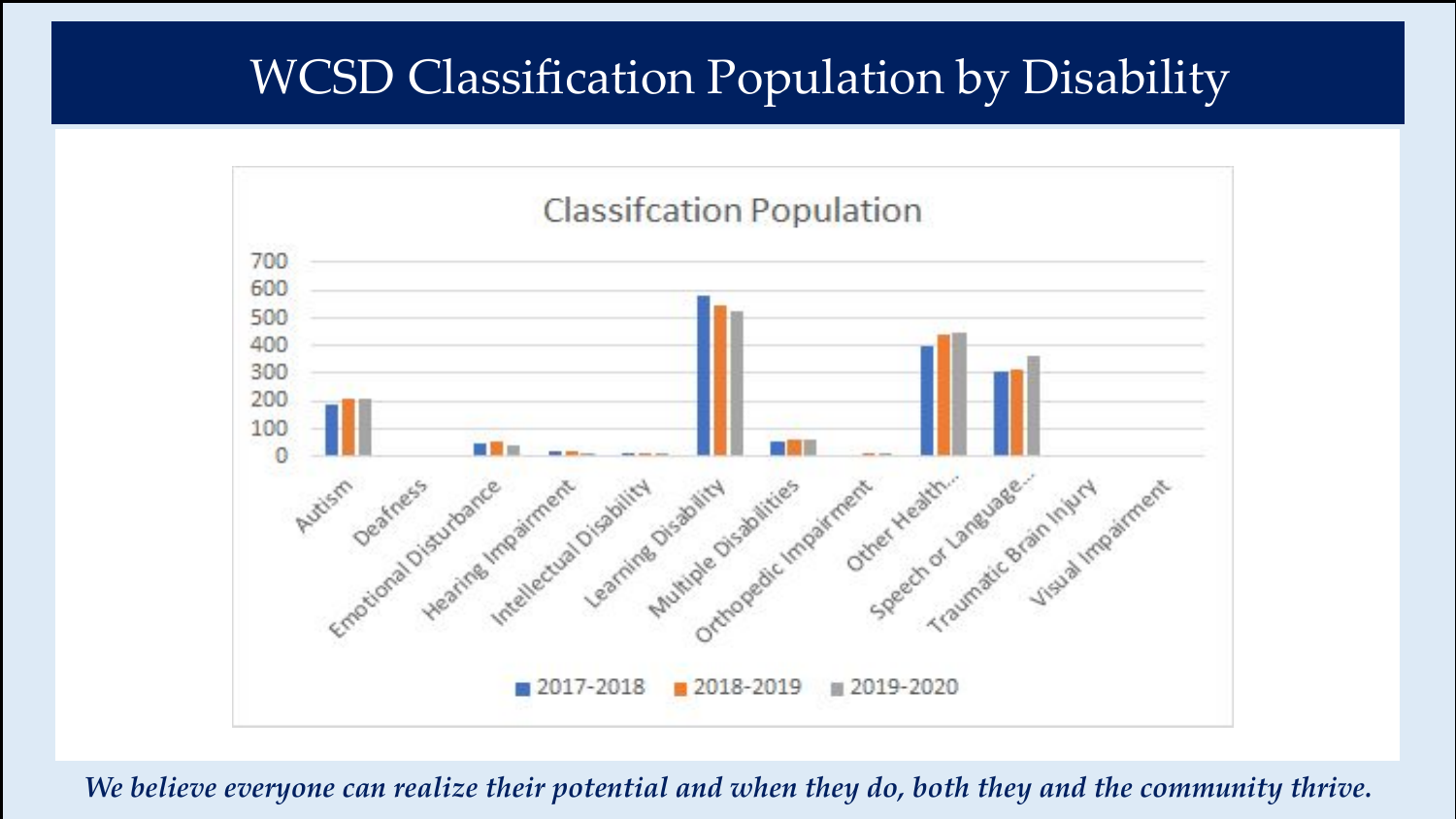#### WCSD Classification Population by Disability



*We believe everyone can realize their potential and when they do, both they and the community thrive.*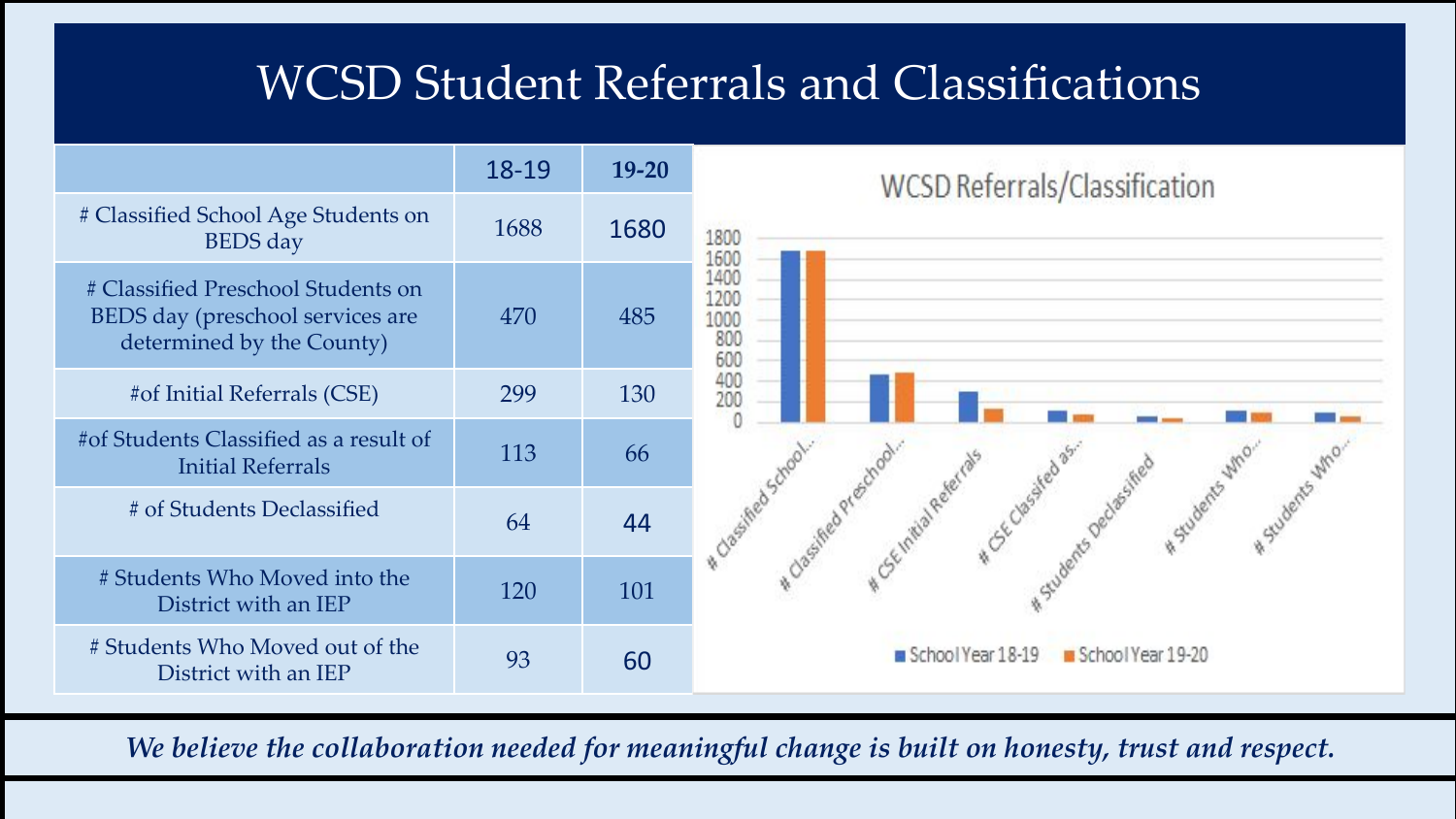#### WCSD Student Referrals and Classifications



*We believe the collaboration needed for meaningful change is built on honesty, trust and respect.*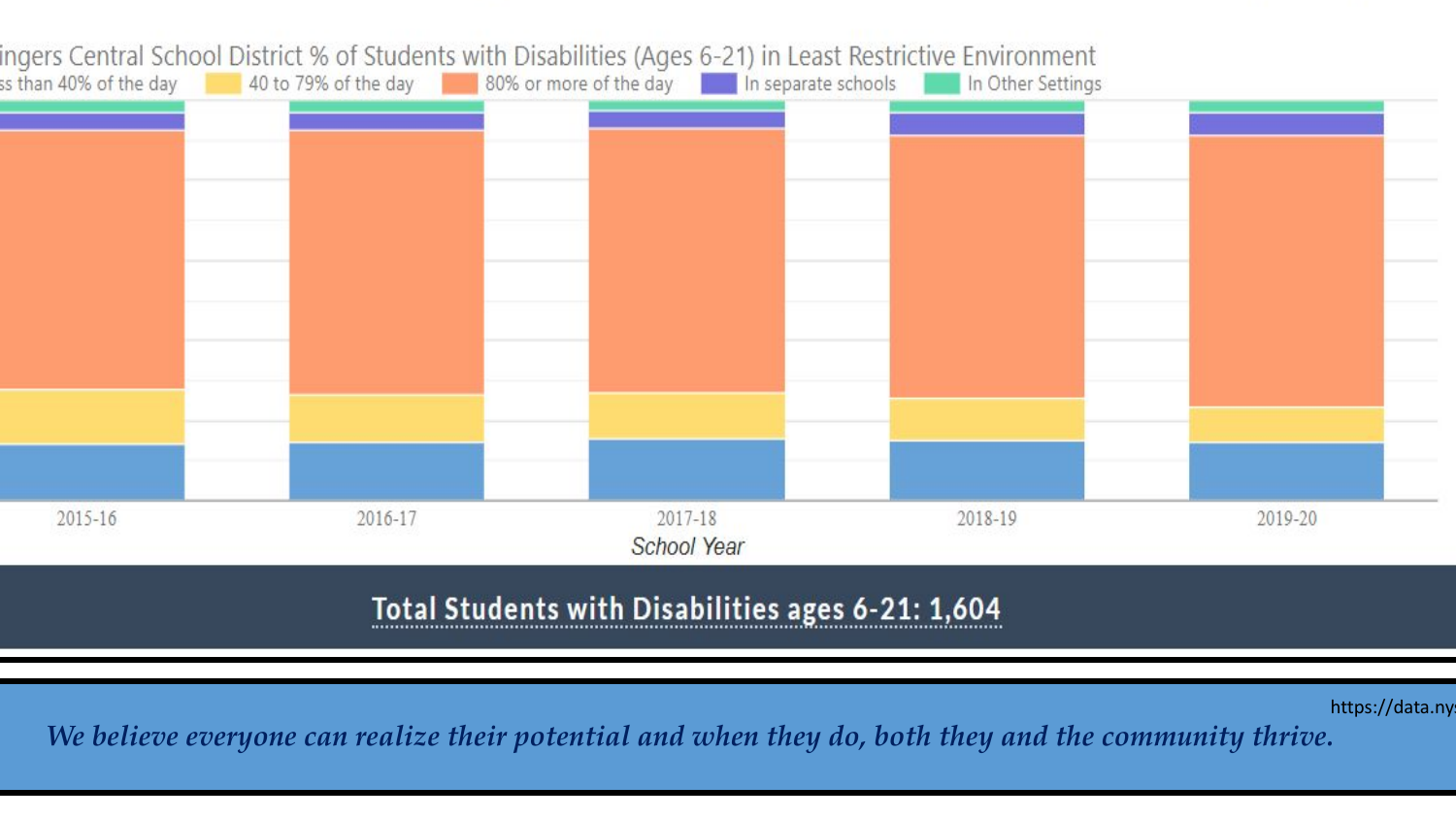

#### Total Students with Disabilities ages 6-21: 1,604

https://data.ny

*We believe everyone can realize their potential and when they do, both they and the community thrive.*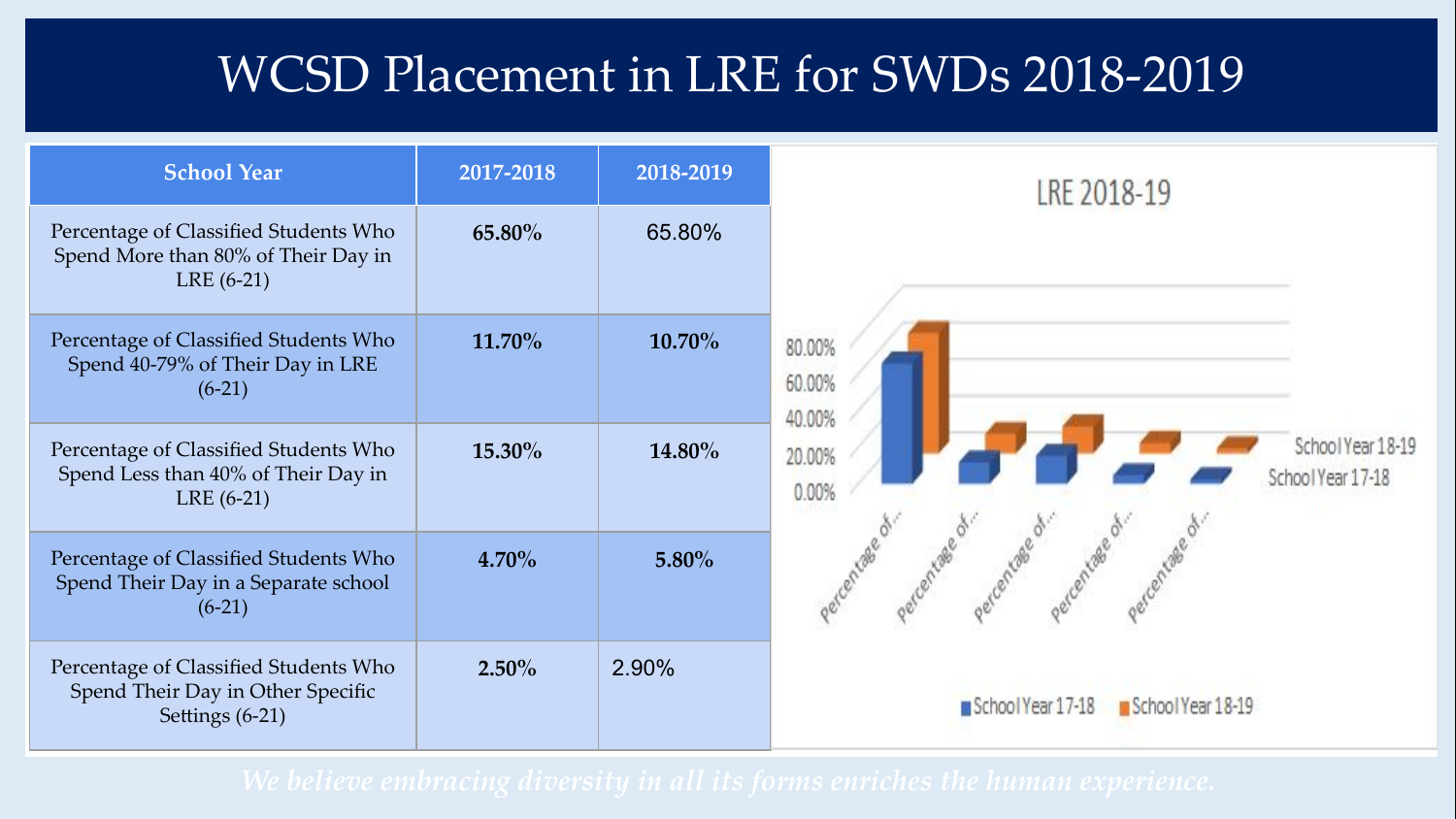#### WCSD Placement in LRE for SWDs 2018-2019

| <b>School Year</b>                                                                            | 2017-2018 | 2018-2019 |
|-----------------------------------------------------------------------------------------------|-----------|-----------|
| Percentage of Classified Students Who<br>Spend More than 80% of Their Day in<br>$LRE(6-21)$   | 65.80%    | 65.80%    |
| Percentage of Classified Students Who<br>Spend 40-79% of Their Day in LRE<br>$(6-21)$         | 11.70%    | 10.70%    |
| Percentage of Classified Students Who<br>Spend Less than 40% of Their Day in<br>$LRE(6-21)$   | 15.30%    | 14.80%    |
| Percentage of Classified Students Who<br>Spend Their Day in a Separate school<br>$(6-21)$     | $4.70\%$  | 5.80%     |
| Percentage of Classified Students Who<br>Spend Their Day in Other Specific<br>Settings (6-21) | $2.50\%$  | 2.90%     |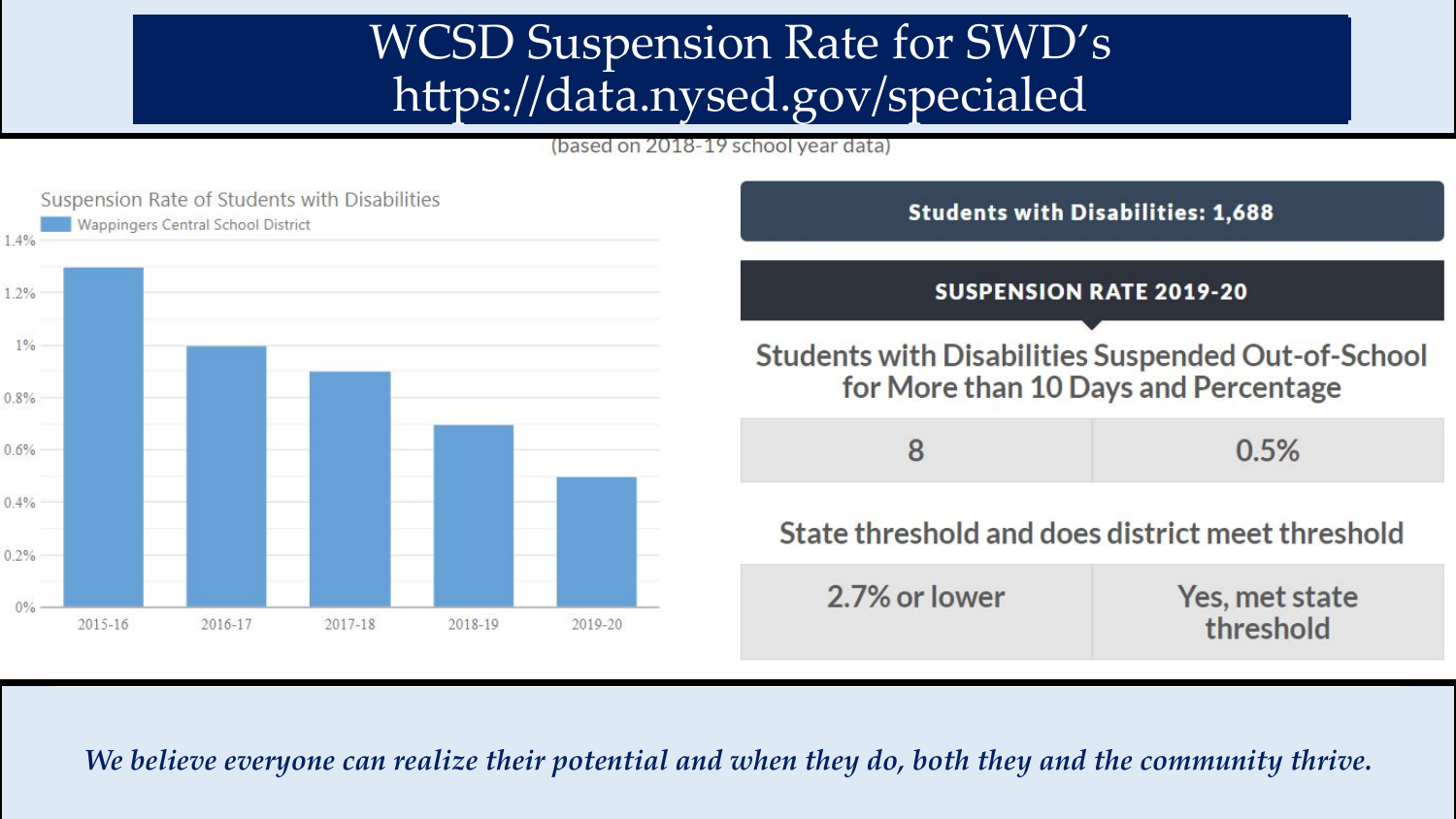#### WCSD Suspension Rate for SWD's https://data.nysed.gov/specialed

(based on 2018-19 school vear data)



*We believe everyone can realize their potential and when they do, both they and the community thrive.*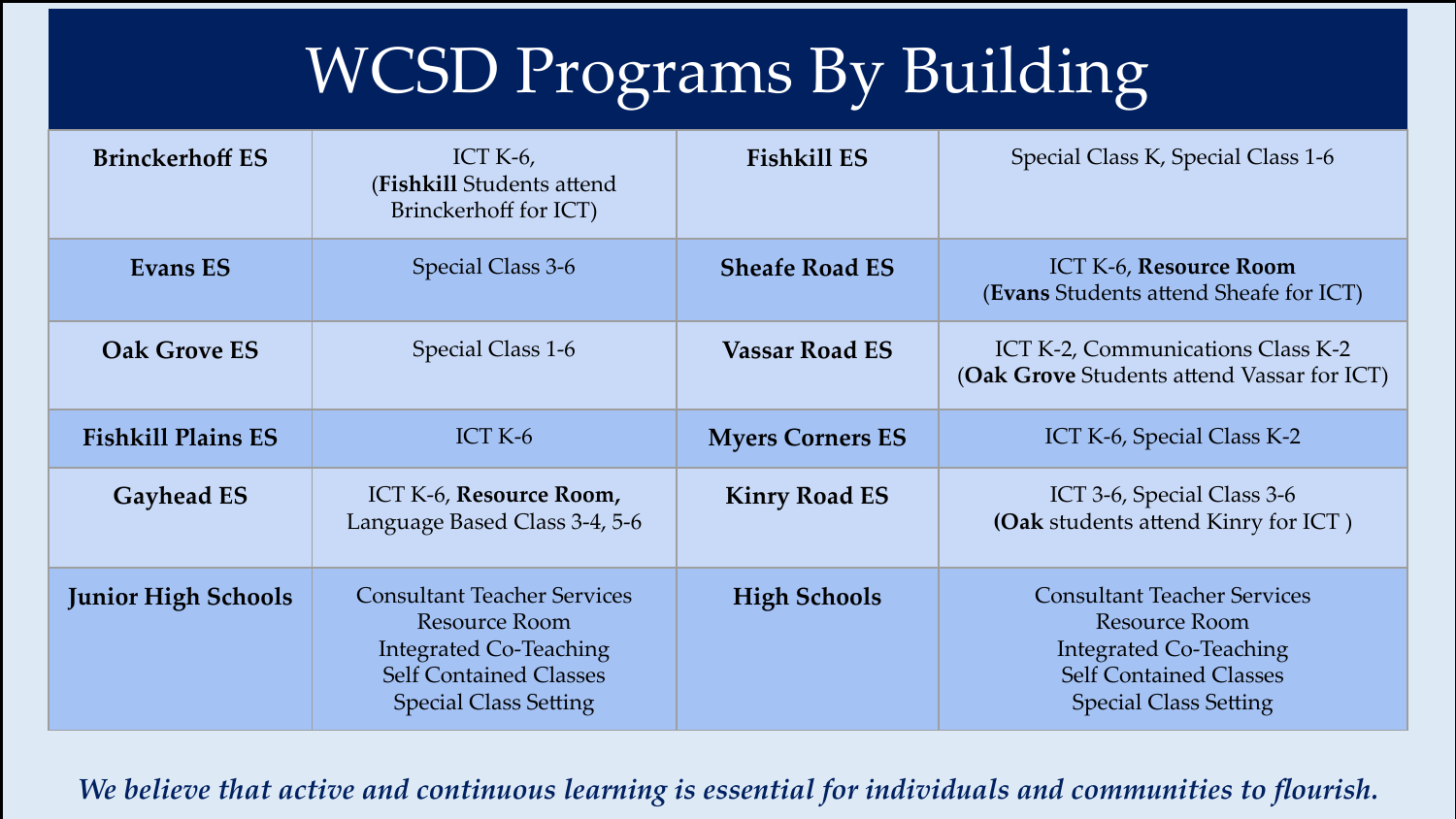# WCSD Programs By Building

| <b>Brinckerhoff ES</b>     | ICT K- $6$ ,<br>(Fishkill Students attend<br>Brinckerhoff for ICT)                                                                                    | <b>Fishkill ES</b>      | Special Class K, Special Class 1-6                                                                                                                    |
|----------------------------|-------------------------------------------------------------------------------------------------------------------------------------------------------|-------------------------|-------------------------------------------------------------------------------------------------------------------------------------------------------|
| <b>Evans ES</b>            | Special Class 3-6                                                                                                                                     | <b>Sheafe Road ES</b>   | ICT K-6, Resource Room<br>(Evans Students attend Sheafe for ICT)                                                                                      |
| <b>Oak Grove ES</b>        | Special Class 1-6                                                                                                                                     | <b>Vassar Road ES</b>   | ICT K-2, Communications Class K-2<br>(Oak Grove Students attend Vassar for ICT)                                                                       |
| <b>Fishkill Plains ES</b>  | ICT K-6                                                                                                                                               | <b>Myers Corners ES</b> | ICT K-6, Special Class K-2                                                                                                                            |
| <b>Gayhead ES</b>          | ICT K-6, Resource Room,<br>Language Based Class 3-4, 5-6                                                                                              | <b>Kinry Road ES</b>    | ICT 3-6, Special Class 3-6<br>(Oak students attend Kinry for ICT)                                                                                     |
| <b>Junior High Schools</b> | <b>Consultant Teacher Services</b><br>Resource Room<br><b>Integrated Co-Teaching</b><br><b>Self Contained Classes</b><br><b>Special Class Setting</b> | <b>High Schools</b>     | <b>Consultant Teacher Services</b><br>Resource Room<br><b>Integrated Co-Teaching</b><br><b>Self Contained Classes</b><br><b>Special Class Setting</b> |

*We believe that active and continuous learning is essential for individuals and communities to flourish.*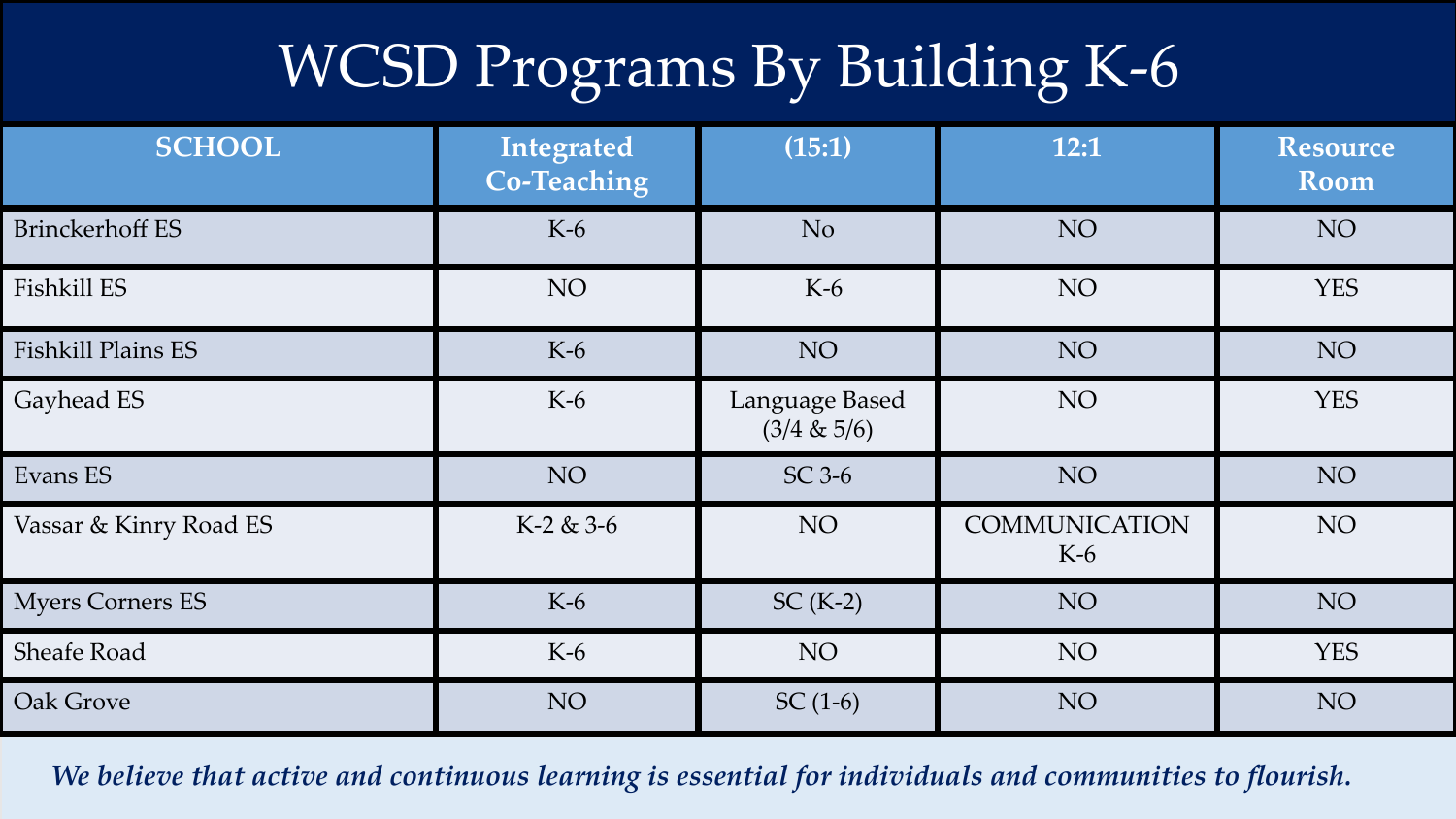# WCSD Programs By Building K-6

| <b>SCHOOL</b>             | Integrated<br><b>Co-Teaching</b> | (15:1)                        | 12:1                          | <b>Resource</b><br><b>Room</b> |
|---------------------------|----------------------------------|-------------------------------|-------------------------------|--------------------------------|
| <b>Brinckerhoff ES</b>    | $K-6$                            | N <sub>o</sub>                | NO.                           | NO <sub>1</sub>                |
| Fishkill ES               | NO <sub>1</sub>                  | $K-6$                         | NO                            | <b>YES</b>                     |
| <b>Fishkill Plains ES</b> | $K-6$                            | NO <sub>1</sub>               | NO <sub>1</sub>               | NO <sub>1</sub>                |
| Gayhead ES                | $K-6$                            | Language Based<br>(3/4 & 5/6) | NO <sub>1</sub>               | <b>YES</b>                     |
| Evans ES                  | NO <sub>1</sub>                  | $SC$ 3-6                      | NO                            | NO <sub>1</sub>                |
| Vassar & Kinry Road ES    | $K-2 & 3-6$                      | NO                            | <b>COMMUNICATION</b><br>$K-6$ | NO <sub>1</sub>                |
| <b>Myers Corners ES</b>   | $K-6$                            | $SC(K-2)$                     | NO                            | NO <sub>1</sub>                |
| Sheafe Road               | $K-6$                            | NO                            | NO <sub>1</sub>               | <b>YES</b>                     |
| Oak Grove                 | NO <sub>1</sub>                  | $SC(1-6)$                     | NO <sub>1</sub>               | NO <sub>1</sub>                |

*We believe that active and continuous learning is essential for individuals and communities to flourish.*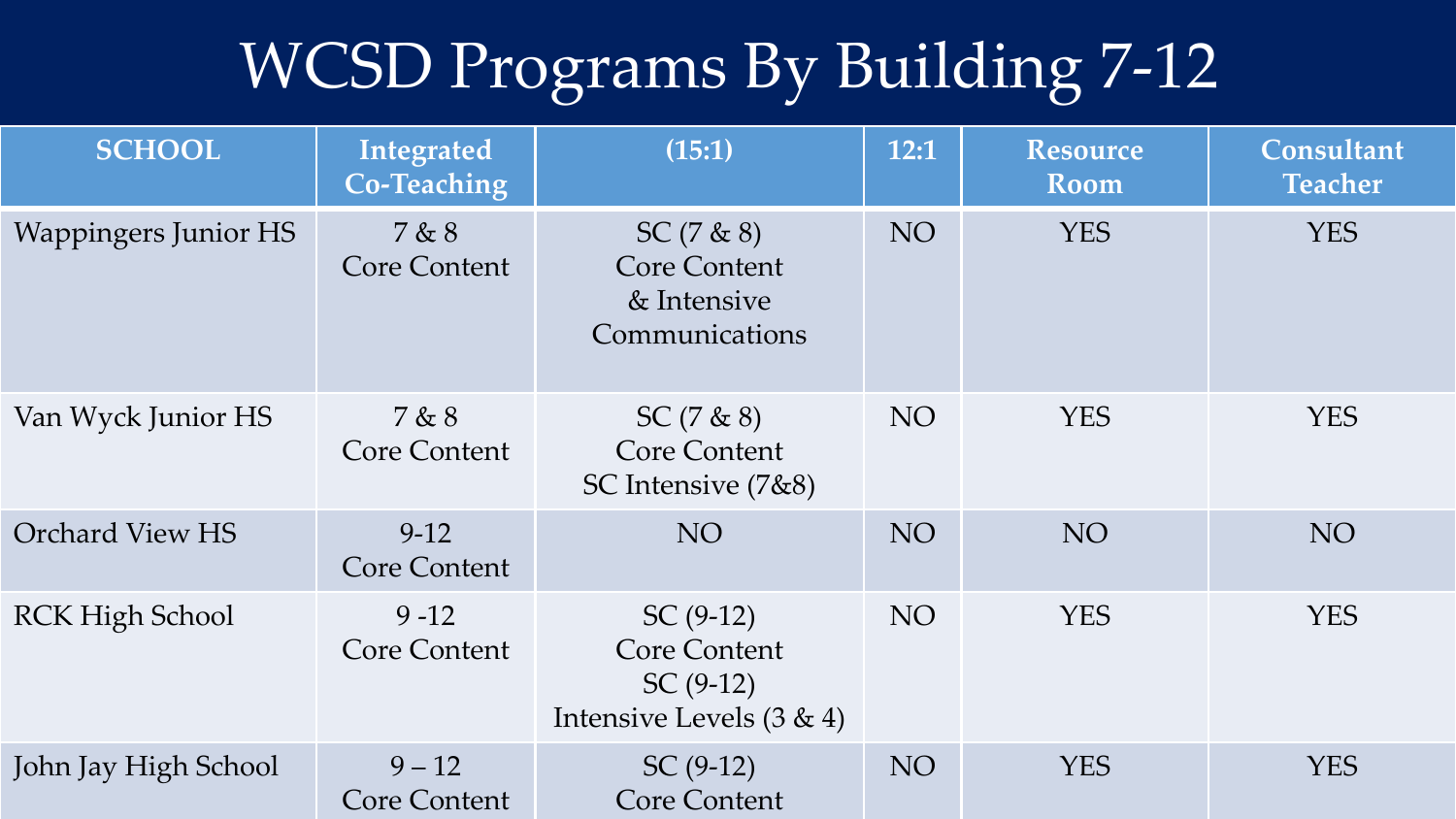# WCSD Programs By Building 7-12

| <b>SCHOOL</b>               | Integrated<br><b>Co-Teaching</b> | (15:1)                                                                         | 12:1            | <b>Resource</b><br>Room | Consultant<br><b>Teacher</b> |
|-----------------------------|----------------------------------|--------------------------------------------------------------------------------|-----------------|-------------------------|------------------------------|
| <b>Wappingers Junior HS</b> | 7 & 8<br>Core Content            | $SC(7 \& 8)$<br><b>Core Content</b><br>& Intensive<br>Communications           | NO              | <b>YES</b>              | <b>YES</b>                   |
| Van Wyck Junior HS          | 7 & 8<br><b>Core Content</b>     | $SC(7 \& 8)$<br>Core Content<br>SC Intensive $(7\&8)$                          | NO <sub>1</sub> | <b>YES</b>              | <b>YES</b>                   |
| <b>Orchard View HS</b>      | $9-12$<br><b>Core Content</b>    | NO <sub>1</sub>                                                                | <b>NO</b>       | NO <sub>1</sub>         | NO <sub>1</sub>              |
| <b>RCK High School</b>      | $9 - 12$<br><b>Core Content</b>  | $SC(9-12)$<br><b>Core Content</b><br>$SC(9-12)$<br>Intensive Levels $(3 \& 4)$ | NO <sub>1</sub> | <b>YES</b>              | <b>YES</b>                   |
| John Jay High School        | $9 - 12$<br><b>Core Content</b>  | $SC(9-12)$<br><b>Core Content</b>                                              | <b>NO</b>       | <b>YES</b>              | <b>YES</b>                   |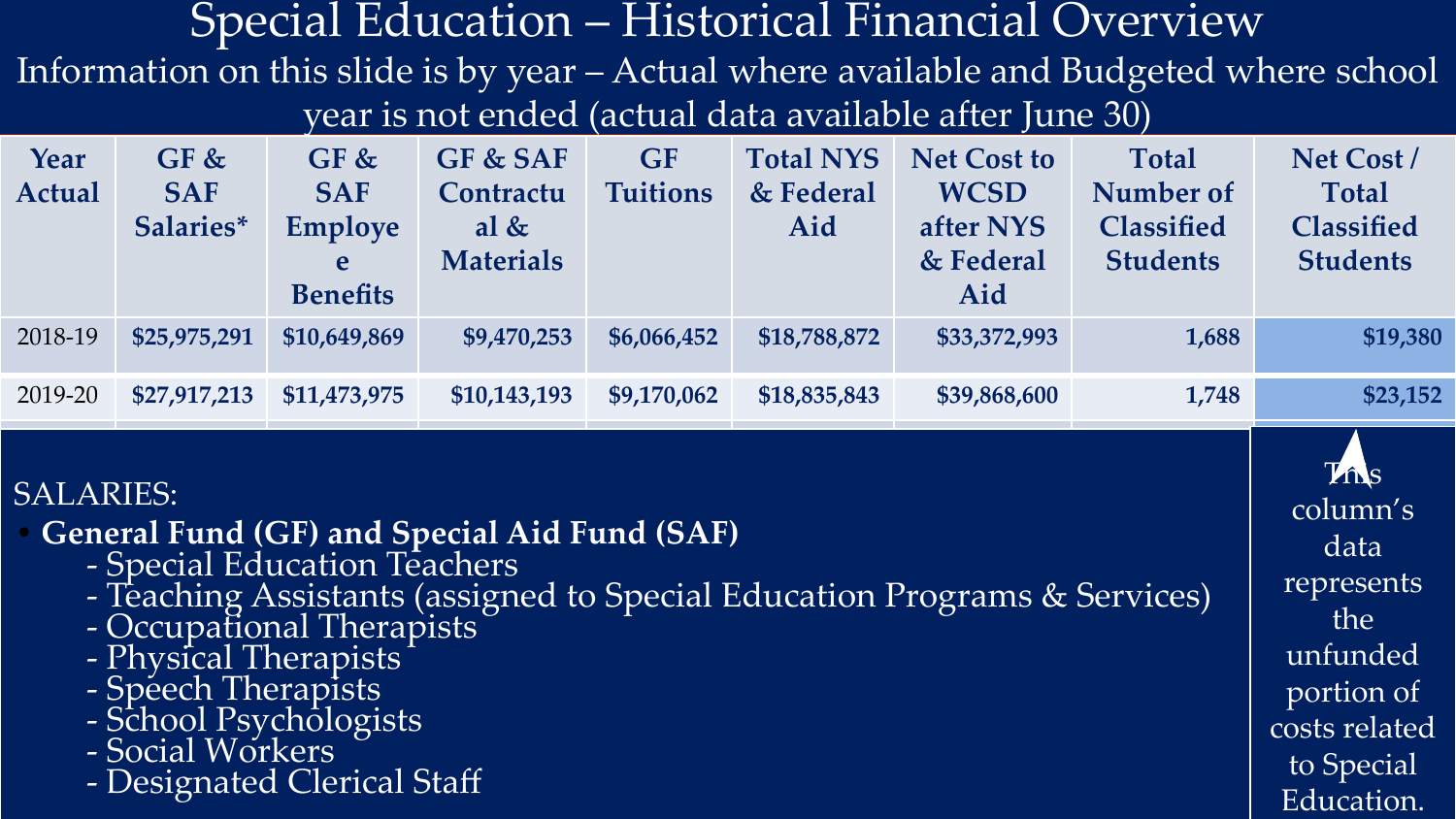#### Special Education – Historical Financial Overview

Information on this slide is by year – Actual where available and Budgeted where school year is not ended (actual data available after June 30)

| Year<br>Actual | GF &<br><b>SAF</b><br>Salaries* | GF &<br><b>SAF</b><br><b>Employe</b><br>e<br><b>Benefits</b> | GF & SAF<br>Contractu<br>al $&$<br><b>Materials</b> | <b>GF</b><br><b>Tuitions</b> | <b>Total NYS</b><br>& Federal<br>Aid | <b>Net Cost to</b><br><b>WCSD</b><br>after NYS<br>& Federal<br>Aid | <b>Total</b><br>Number of<br><b>Classified</b><br><b>Students</b> | Net Cost/<br><b>Total</b><br><b>Classified</b><br><b>Students</b> |
|----------------|---------------------------------|--------------------------------------------------------------|-----------------------------------------------------|------------------------------|--------------------------------------|--------------------------------------------------------------------|-------------------------------------------------------------------|-------------------------------------------------------------------|
| 2018-19        | \$25,975,291                    | \$10,649,869                                                 | \$9,470,253                                         | \$6,066,452                  | \$18,788,872                         | \$33,372,993                                                       | 1,688                                                             | \$19,380                                                          |
| 2019-20        | \$27,917,213                    | \$11,473,975                                                 | \$10,143,193                                        | \$9,170,062                  | \$18,835,843                         | \$39,868,600                                                       | 1,748                                                             | \$23,152                                                          |
|                |                                 |                                                              |                                                     |                              |                                      |                                                                    |                                                                   |                                                                   |

#### SALARIES:

**• General Fund (GF) and Special Aid Fund (SAF)**

- Special Education Teachers
- Teaching Assistants (assigned to Special Education Programs & Services)
- Occupational Therapists
- Physical Therapists
- Speech Therapists
- School Psychologists
- Social Workers
- Designated Clerical Staff

**This** column's data represents the unfunded portion of costs related to Special Education.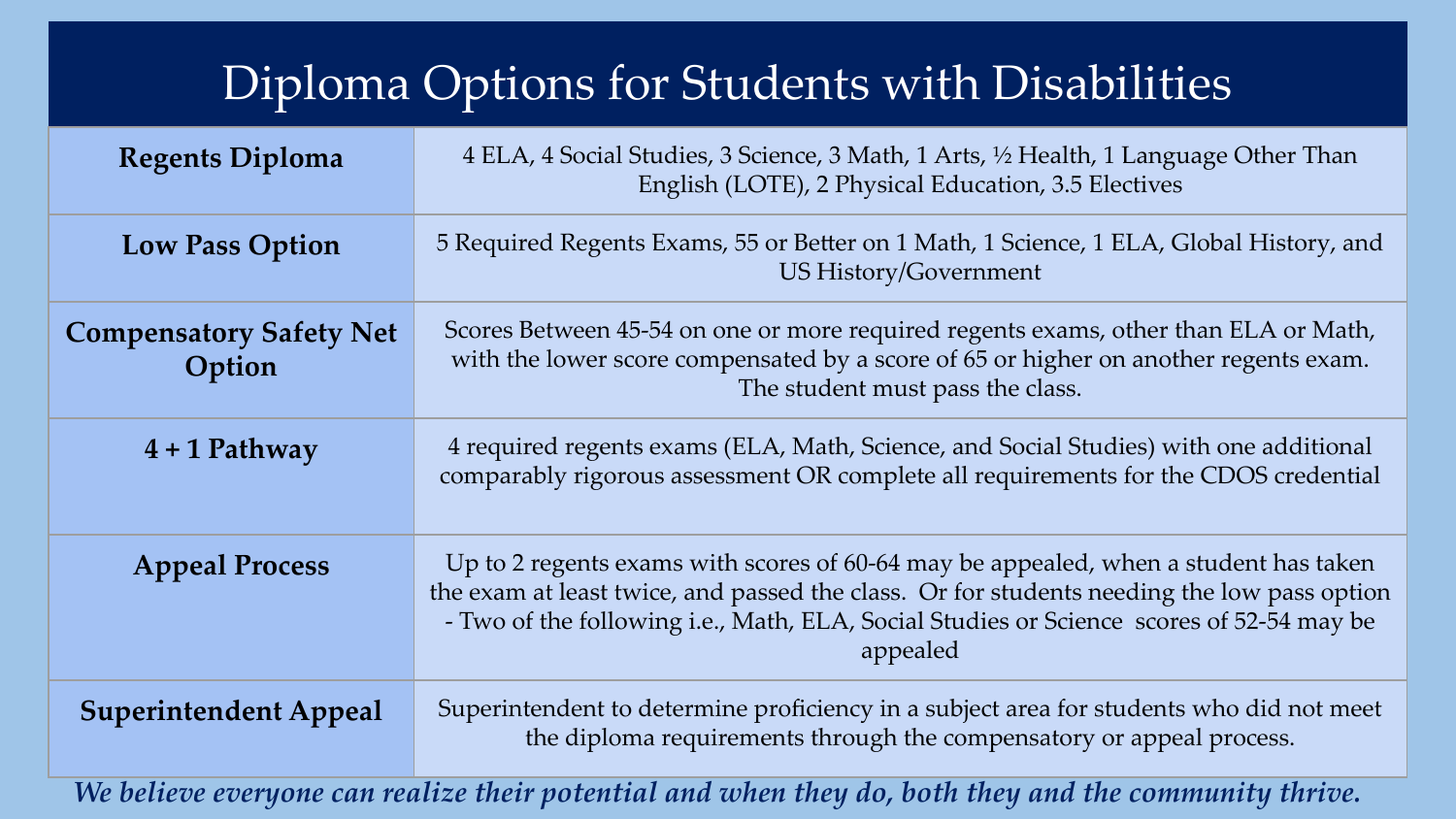#### Diploma Options for Students with Disabilities

| <b>Regents Diploma</b>                   | 4 ELA, 4 Social Studies, 3 Science, 3 Math, 1 Arts, 1/2 Health, 1 Language Other Than<br>English (LOTE), 2 Physical Education, 3.5 Electives                                                                                                                                               |
|------------------------------------------|--------------------------------------------------------------------------------------------------------------------------------------------------------------------------------------------------------------------------------------------------------------------------------------------|
| <b>Low Pass Option</b>                   | 5 Required Regents Exams, 55 or Better on 1 Math, 1 Science, 1 ELA, Global History, and<br><b>US History/Government</b>                                                                                                                                                                    |
| <b>Compensatory Safety Net</b><br>Option | Scores Between 45-54 on one or more required regents exams, other than ELA or Math,<br>with the lower score compensated by a score of 65 or higher on another regents exam.<br>The student must pass the class.                                                                            |
| $4 + 1$ Pathway                          | 4 required regents exams (ELA, Math, Science, and Social Studies) with one additional<br>comparably rigorous assessment OR complete all requirements for the CDOS credential                                                                                                               |
| <b>Appeal Process</b>                    | Up to 2 regents exams with scores of 60-64 may be appealed, when a student has taken<br>the exam at least twice, and passed the class. Or for students needing the low pass option<br>- Two of the following i.e., Math, ELA, Social Studies or Science scores of 52-54 may be<br>appealed |
| <b>Superintendent Appeal</b>             | Superintendent to determine proficiency in a subject area for students who did not meet<br>the diploma requirements through the compensatory or appeal process.                                                                                                                            |
|                                          | We believe everyone can realize their potential and when they do, both they and the community thrive.                                                                                                                                                                                      |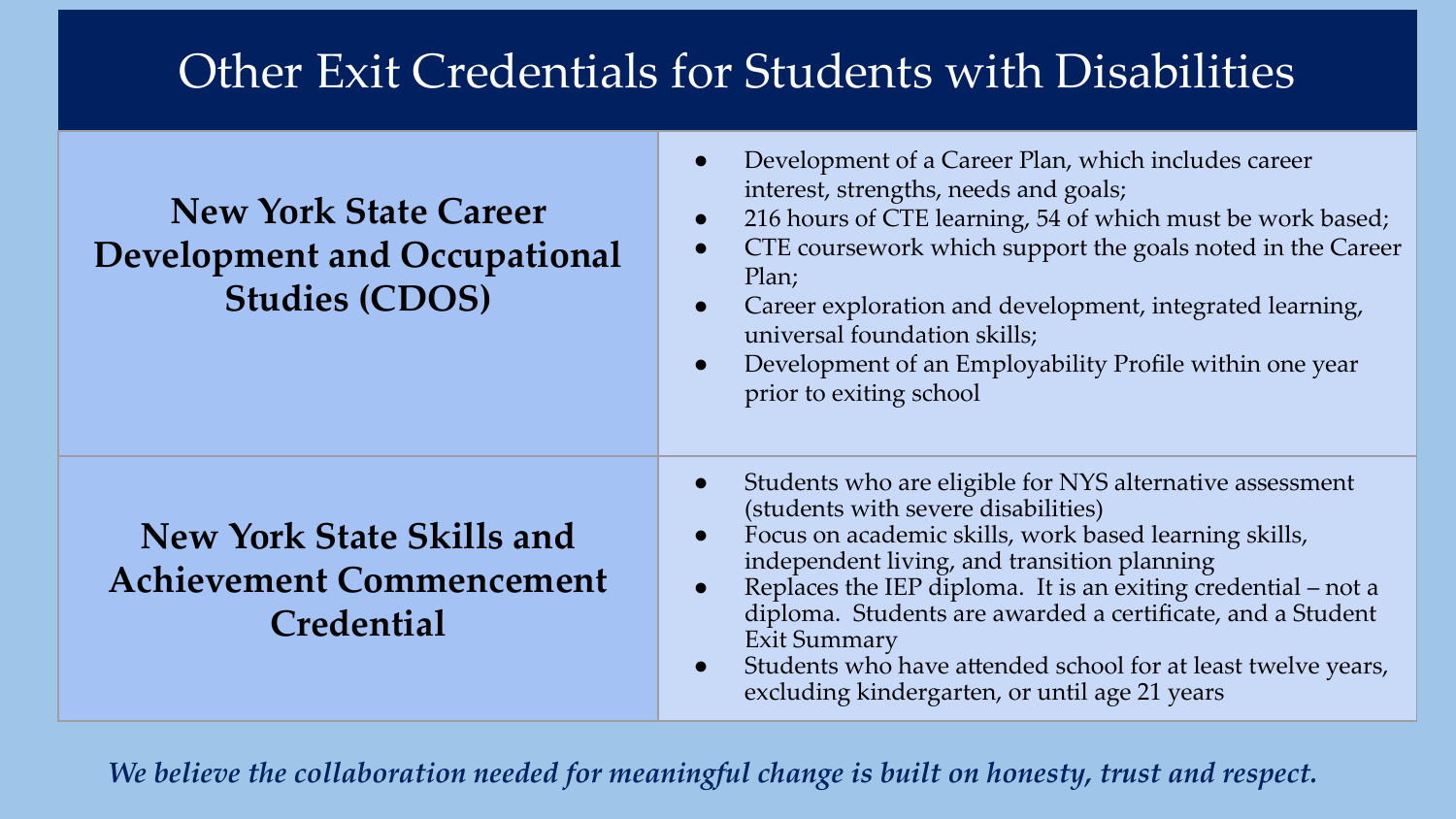#### Other Exit Credentials for Students with Disabilities

| <b>New York State Career</b><br>Development and Occupational<br><b>Studies (CDOS)</b> | Development of a Career Plan, which includes career<br>interest, strengths, needs and goals;<br>216 hours of CTE learning, 54 of which must be work based;<br>CTE coursework which support the goals noted in the Career<br>Plan;<br>Career exploration and development, integrated learning,<br>universal foundation skills;<br>Development of an Employability Profile within one year<br>prior to exiting school                                                            |
|---------------------------------------------------------------------------------------|--------------------------------------------------------------------------------------------------------------------------------------------------------------------------------------------------------------------------------------------------------------------------------------------------------------------------------------------------------------------------------------------------------------------------------------------------------------------------------|
| <b>New York State Skills and</b><br><b>Achievement Commencement</b><br>Credential     | Students who are eligible for NYS alternative assessment<br>(students with severe disabilities)<br>Focus on academic skills, work based learning skills,<br>independent living, and transition planning<br>Replaces the IEP diploma. It is an exiting credential – not a<br>diploma. Students are awarded a certificate, and a Student<br><b>Exit Summary</b><br>Students who have attended school for at least twelve years,<br>excluding kindergarten, or until age 21 years |

*We believe the collaboration needed for meaningful change is built on honesty, trust and respect.*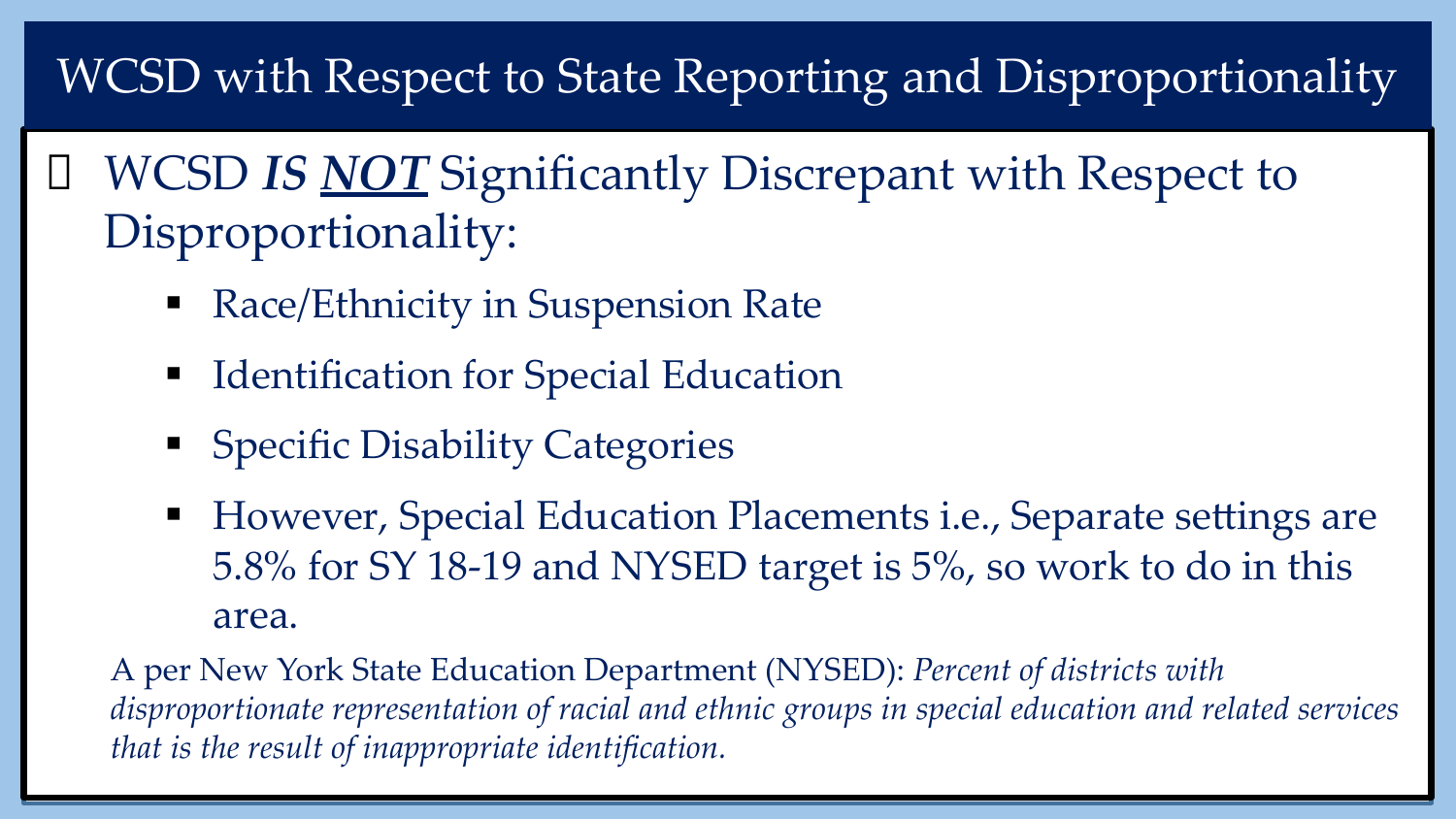## WCSD with Respect to State Reporting and Disproportionality

 WCSD *IS NOT* Significantly Discrepant with Respect to Disproportionality:

- Race/Ethnicity in Suspension Rate
- **Identification for Special Education**
- Specific Disability Categories
- However, Special Education Placements i.e., Separate settings are 5.8% for SY 18-19 and NYSED target is 5%, so work to do in this area.

A per New York State Education Department (NYSED): *Percent of districts with disproportionate representation of racial and ethnic groups in special education and related services that is the result of inappropriate identification.*